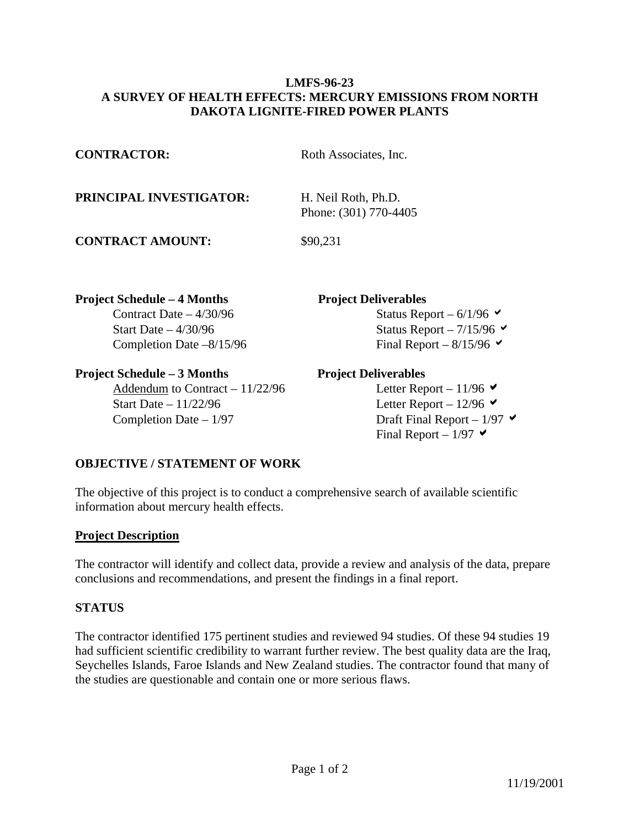## **LMFS-96-23 A SURVEY OF HEALTH EFFECTS: MERCURY EMISSIONS FROM NORTH DAKOTA LIGNITE-FIRED POWER PLANTS**

| <b>CONTRACTOR:</b>                 | Roth Associates, Inc.                        |
|------------------------------------|----------------------------------------------|
| PRINCIPAL INVESTIGATOR:            | H. Neil Roth, Ph.D.<br>Phone: (301) 770-4405 |
| <b>CONTRACT AMOUNT:</b>            | \$90,231                                     |
| <b>Project Schedule – 4 Months</b> | <b>Project Deliverables</b>                  |
| Contract Date $-4/30/96$           | Status Report – $6/1/96$                     |
| Start Date $-4/30/96$              | Status Report – $7/15/96$                    |
| Completion Date $-8/15/96$         | Final Report – $8/15/96$                     |
| <b>Project Schedule – 3 Months</b> | <b>Project Deliverables</b>                  |
| Addendum to Contract $-11/22/96$   | Letter Report – 11/96 $\blacktriangleright$  |

Start Date – 11/22/96 Letter Report – 12/96  $\blacktriangleright$ Completion Date –  $1/97$  Draft Final Report –  $1/97 \times$ 

Final Report –  $1/97$   $\blacktriangleright$ 

## **OBJECTIVE / STATEMENT OF WORK**

The objective of this project is to conduct a comprehensive search of available scientific information about mercury health effects.

## **Project Description**

The contractor will identify and collect data, provide a review and analysis of the data, prepare conclusions and recommendations, and present the findings in a final report.

## **STATUS**

The contractor identified 175 pertinent studies and reviewed 94 studies. Of these 94 studies 19 had sufficient scientific credibility to warrant further review. The best quality data are the Iraq, Seychelles Islands, Faroe Islands and New Zealand studies. The contractor found that many of the studies are questionable and contain one or more serious flaws.